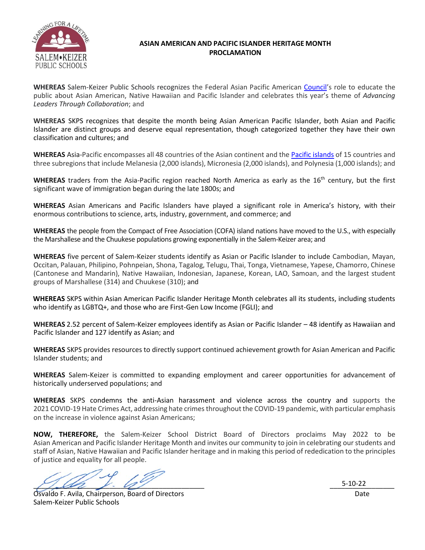

## **ASIAN AMERICAN AND PACIFIC ISLANDER HERITAGE MONTH PROCLAMATION**

**WHEREAS** Salem-Keizer Public Schools recognizes the Federal Asian Pacific American [Council](https://fapac.org/AAPI-Resources)'s role to educate the public about Asian American, Native Hawaiian and Pacific Islander and celebrates this year's theme of *Advancing Leaders Through Collaboration*; and

**WHEREAS** SKPS recognizes that despite the month being Asian American Pacific Islander, both Asian and Pacific Islander are distinct groups and deserve equal representation, though categorized together they have their own classification and cultures; and

**WHEREAS** Asia-Pacific encompasses all 48 countries of the Asian continent and th[e Pacific islands](https://www.goodhousekeeping.com/life/a36433344/pacific-island-countries/) of 15 countries and three subregions that include Melanesia (2,000 islands), Micronesia (2,000 islands), and Polynesia (1,000 islands); and

WHEREAS traders from the Asia-Pacific region reached North America as early as the 16<sup>th</sup> century, but the first significant wave of immigration began during the late 1800s; and

**WHEREAS** Asian Americans and Pacific Islanders have played a significant role in America's history, with their enormous contributions to science, arts, industry, government, and commerce; and

**WHEREAS** the people from the Compact of Free Association (COFA) island nations have moved to the U.S., with especially the Marshallese and the Chuukese populations growing exponentially in the Salem-Keizer area; and

**WHEREAS** five percent of Salem-Keizer students identify as Asian or Pacific Islander to include Cambodian, Mayan, Occitan, Palauan, Philipino, Pohnpeian, Shona, Tagalog, Telugu, Thai, Tonga, Vietnamese, Yapese, Chamorro, Chinese (Cantonese and Mandarin), Native Hawaiian, Indonesian, Japanese, Korean, LAO, Samoan, and the largest student groups of Marshallese (314) and Chuukese (310); and

**WHEREAS** SKPS within Asian American Pacific Islander Heritage Month celebrates all its students, including students who identify as LGBTQ+, and those who are First-Gen Low Income (FGLI); and

**WHEREAS** 2.52 percent of Salem-Keizer employees identify as Asian or Pacific Islander – 48 identify as Hawaiian and Pacific Islander and 127 identify as Asian; and

**WHEREAS** SKPS provides resources to directly support continued achievement growth for Asian American and Pacific Islander students; and

**WHEREAS** Salem-Keizer is committed to expanding employment and career opportunities for advancement of historically underserved populations; and

**WHEREAS** SKPS condemns the anti-Asian harassment and violence across the country and supports the 2021 COVID-19 Hate Crimes Act, addressing hate crimes throughout the COVID-19 pandemic, with particular emphasis on the increase in violence against Asian Americans;

**NOW, THEREFORE,** the Salem-Keizer School District Board of Directors proclaims May 2022 to be Asian American and Pacific Islander Heritage Month and invites our community to join in celebrating our students and staff of Asian, Native Hawaiian and Pacific Islander heritage and in making this period of rededication to the principles of justice and equality for all people.

 $\mathcal{L}/\mathcal{L}$ 

Osvaldo F. Avila, Chairperson, Board of Directors Salem-Keizer Public Schools

 $-$  5-10-22

Date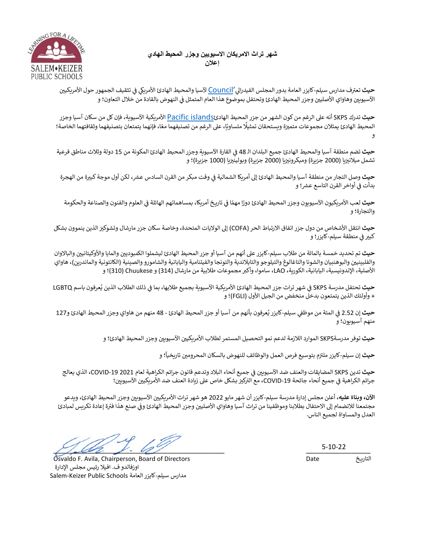# شهر تراث الامريكان الاسبويين وجزر المحبط الهادي إعلان



حيث تعترف مدارس سيلم-كايزر العامة بدور المجلس الفيدرالي '<u>Council</u> لآسيا والمحيط الهادئ الأمريكى فى تثقيف الجمهور حول الأمريكيين الآسيوبين وهاواي الأصليين وجزر المحيط الهادئ وتحتفل بموضوع هذا العام المتمثل في النهوض بالقادة من خلال التعاون؛ و

حيث تدرك SKPS أنه على الرغم من كون الشهر من جزر المحيط الهادئ<u>Dacific islands</u> الأمريكية الآسيوية، فإن كل من سكان آسيا وجزر المحيط الهادئ يمثلان مجموعات متميزة ويستحقان تمثيلًا متساويًا، على الرغم من تصنيفهما معًا، فإنهما يتمتعان بتصنيفهما وثقافتهما الخاصة؛ و

حيث تضم منطقة آسيا والمحيط الهادئ جميع البلدان الـ 48 في القارة الآسيوية وجزر المحيط الهادئ المكونة من 15 دولة وثلاث مناطق فرعية تشمل ميلانيزيا (2000 جزيرة) وميكرونيزيا (2000 جزيرة) وبولينيزيا (1000 جزيرة)؛ و

حيث وصل التجار من منطقة آسيا والمحيط الهادئ إلى أمريكا الشمالية في وقت مبكر من القرن السادس عشر، لكن أول موجة كبيرة من الهجرة بدأت في أواخر القرن التاسع عشر؛ و

حيث لعب الأمريكيون الآسيوبون وجزر المحيط الهادئ دورًا مهمًا في تاريخ أمريكا، بمساهماتهم الهائلة في العلوم والفنون والصناعة والحكومة والتجارة؛ و

حيث انتقل الأشخاص من دول جزر اتفاق الارتباط الحر (COFA) إلى الولايات المتحدة، وخاصة سكان جزر مارشال وتشوكيز الذين ينموون بشكل کبير في منطقة سيلم-کايزر؛ و

حيث تم تحديد خمسة بالمائة من طلاب سيلم-كايزر على أنهم من آسيا أو جزر المحيط الهادئ ليشملوا الكمبوديين والمايا والأوكيتانيين والبالاوان والفلبينين والبوهنبيان والشونا والتاغالوغ والتيلوجو والتايلاندية والتونجا والفيتنامية واليابانية والشامورو والصينية (الكانتونية والماندرين)، هاواي الأصلية، الإندونيسية، اليابانية، الكورية، LAO، ساموا، وأكبر مجموعات طلابية من مارشال (314) و 310)Chuukese)؛ و

حيث تحتفل مدرسة SKPS في شهر تراث جزر المحيط الهادئ الأمريكية الآسيوبة بجميع طلابها، بما في ذلك الطلاب الذين يُعرفون باسم LGBTQ + وأولئك الذين يتمتعون بدخل منخفض من الجيل الأول (FGLI)؛ و

حيث إن 2.52 في المئة من موظفي سيلم-كايزر يُعرفون بأنهم من آسيا أو جزر المحيط الهادئ - 48 منهم من هاواي وجزر المحيط الهادئ و127 منهم آسيوبون؛ و

حيث توفر مدرسةSKPS الموارد اللازمة لدعم نمو التحصيل المستمر لطلاب الأمريكيين الآسيويين وجزر المحيط الهادئ؛ و

**حيث** إن سيلم-كايزر ملتزم بتوسيع فرص العمل والوظائف للنهوض بالسكان المحرومين تاريخياً؛ و

حيث تدين SKPS المضايقات والعنف ضد الآسيوبين في جميع أنحاء البلاد وتدعم قانون جرائم الكراهية لعام 2021 COVID-19، الذي يعالج جرائم الكراهية في جميع أنحاء جائحة COVID-19، مع التركيز بشكل خاص على زيادة العنف ضد الأمريكيين الآسيوبين؛

ا**لآن، وبناءً عليه،** أعلن مجلس إدارة مدرسة سيلم-كايزر أن شهر مايو 2022 هو شهر تراث الأمريكيين الآسيوبين وجزر المحيط الهادئ، وبدعو مجتمعنا للانضمام إلى الاحتفال بطلابنا وموظفينا من تراث آسيا وهاواي الأصليين وجزر المحيط الهادئ وفي صنع هذا فترة إعادة تكربس لمبادئ العدل والمساواة لجميع الناس.

 $5 - 10 - 22$ 

التاريخ

Date

Osvaldo F. Avila, Chairperson, Board of Directors اوزفالدو ف. افيلا رئيس مجلس الإدارة مدارس سيلم-كايزر العامة Salem-Keizer Public Schools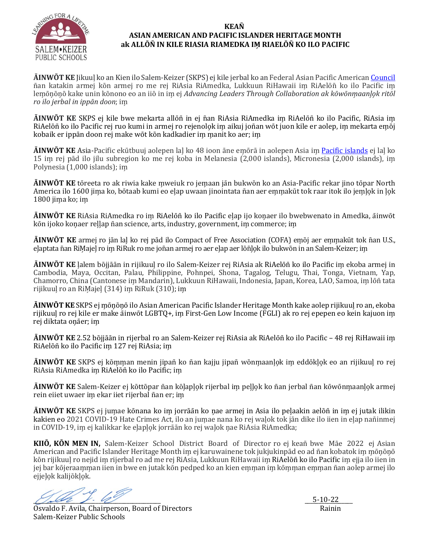

### **KEAN� ASIAN AMERICAN AND PACIFIC ISLANDER HERITAGE MONTH ak ALLŌN�IN KILE RIASIA RIAMEDKA IM̗ RIAELŌN�KO ILO PACIFIC**

**ĀINWŌT KE** Jikuul̗ko an Kien ilo Salem-Keizer (SKPS) ej kile jerbal ko an Federal Asian Pacific America[n Council](https://fapac.org/AAPI-Resources) n̄an katakin armej kōn armej ro me rej RiAsia RiAmedka, Lukkuun RiHawaii im̗ RiAelōn̄ ko ilo Pacific im̗ lem̗ōn̗ōn̗ōkake unin kōnono eo an iiōin im̗ ej *Advancing Leaders Through Collaboration ak kōwōnm̗aanl̗o̗k ritōl ro ilo jerbal in ippān doon*; im̗

**ĀINWŌT KE** SKPS ej kile bwe mekarta allōn̄ in ej n̄an RiAsia RiAmedka im̗ RiAelōn̄ ko ilo Pacific, RiAsia im̗ RiAelōñ ko ilo Pacific rej ruo kumi in armej ro rejenolok im aikuj joñan wōt juon kile er aolep, im mekarta emōj kobaik er ippān doon rej make wōt kōn kadkadier im manit ko aer; im

**ĀINWŌT KE** Asia-Pacific ekūtbuuj aolepen lal̗ko 48 ioon āne em̗ōrāin aolepen Asia im̗ [Pacific islands](https://www.goodhousekeeping.com/life/a36433344/pacific-island-countries/) ej lal̗ko 15 im rej pād ilo jilu subregion ko me rej koba in Melanesia (2,000 islands), Micronesia (2,000 islands), im Polynesia (1,000 islands); im

**ĀINWŌT KE** tōreeta ro ak riwia kake m̗weiuk ro jem̗aan jān bukwōn ko an Asia-Pacific rekar jino tōpar North America ilo 1600 jima ko, bōtaab kumi eo elap uwaan jinointata nān aer emmakūt tok raar itok ilo jemļok in lok 1800 jim̗a ko; im̗

**ĀINWŌT KE** RiAsia RiAmedka ro im̗ RiAelōn̄ ko ilo Pacific el̗ap ijo kon̗aer ilo bwebwenato in Amedka, āinwōt kōn ijoko konaer reļļap nāan science, arts, industry, government, im commerce; im

**ĀINWŌT KE** armej ro jān laļ ko rej pād ilo Compact of Free Association (COFA) emōj aer emmakūt tok n̄an U.S., eļaptata n̄an RiMajeļ ro im RiRuk ro me jon̄an armej ro aer eļap aer lōn̄ļok ilo bukwōn in an Salem-Keizer; im

**ĀINWŌT KE** l̗alem bōjjāān in rijikuul̗ro ilo Salem-Keizer rej RiAsia ak RiAelōn̄ko ilo Pacific im̗ ekoba armej in Cambodia, Maya, Occitan, Palau, Philippine, Pohnpei, Shona, Tagalog, Telugu, Thai, Tonga, Vietnam, Yap, Chamorro, China (Cantonese im Mandarin), Lukkuun RiHawaii, Indonesia, Japan, Korea, LAO, Samoa, im lōñ tata rijikuul ro an RiMajel (314) im RiRuk (310); im

**ĀINWŌT KE** SKPS ej m̗ōn̗ōn̗ō ilo Asian American Pacific Islander Heritage Month kake aolep rijikuul̗ro an, ekoba rijikuul ro rej kile er make ainwōt LGBTQ+, im First-Gen Low Income (FGLI) ak ro rej epepen eo kein kajuon im rej diktata onāer; im

**ĀINWŌT KE** 2.52 bōjjāān in rijerbal ro an Salem-Keizer rej RiAsia ak RiAelōn̄ko ilo Pacific – 48 rej RiHawaii im̗ RiAelōn̄ko ilo Pacific im̗ 127 rej RiAsia; im̗

**ĀINWŌT KE** SKPS ej kōm̗ m̗an menin jipan̄ ko n̄an kajju jipan̄ wōnm̗aanl̗o̗k im̗ eddōkl̗o̗k eo an rijikuul̗ ro rej RiAsia RiAmedka im RiAelōn̄ko ilo Pacific; im

**ĀINWŌT KE** Salem-Keizer ej kōttōpar ñan kōlaplok rijerbal im pellok ko ñan jerbal ñan kōwōnmaanlok armej rein eiiet uwaer im ekar iiet rijerbal nan er; im

**ĀINWŌT KE** SKPS ej jum̗ae kōnana ko im̗ jorrāān ko n̗ae armej in Asia ilo pel̗aakin aelōn̄ in im̗ ej jutak ilikin kakien eo 2021 COVID-19 Hate Crimes Act, ilo an jumae nana ko rej walok tok jān dike ilo iien in elap nañinmej in COVID-19, im ej kalikkar ke eļapļok jorrāān ko rej waļok nae RiAsia RiAmedka;

**KIIŌ, KŌN MEN IN,** Salem-Keizer School District Board of Director ro ej kean̄ bwe Māe 2022 ej Asian American and Pacific Islander Heritage Month im ej karuwainene tok jukjukinpād eo ad ñan kobatok im mōnōnō kōn rijikuul ro nejid im rijerbal ro ad me rej RiAsia, Lukkuun RiHawaii im RiAelōñ ko ilo Pacific im ejja ilo iien in jej bar kōjeraamman iien in bwe en jutak kōn pedped ko an kien emman im kōmman emman ñan aolep armej ilo ejjelok kalijōklok.

 $U_r$ 

Osvaldo F. Avila, Chairperson, Board of Directors Salem-Keizer Public Schools

 $\frac{-5-10-22}{2}$ Rainin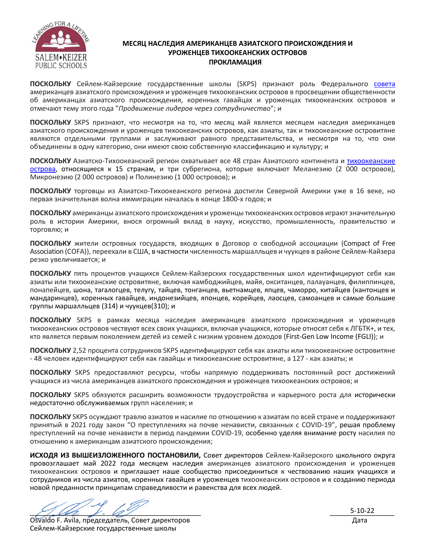

## **МЕСЯЦ НАСЛЕДИЯ АМЕРИКАНЦЕВ АЗИАТСКОГО ПРОИСХОЖДЕНИЯ И УРОЖЕНЦЕВ ТИХООКЕАНСКИХ ОСТРОВОВ ПРОКЛАМАЦИЯ**

**ПОСКОЛЬКУ** Сейлем-Кайзерские государственные школы (SKPS) признают роль Федерального [совета](https://fapac.org/AAPI-Resources) американцев азиатского происхождения и уроженцев тихоокеанских островов в просвещении общественности об американцах азиатского происхождения, коренных гавайцах и уроженцах тихоокеанских островов и отмечают тему этого года "*Продвижение лидеров через сотрудничество*"; и

**ПОСКОЛЬКУ** SKPS признают, что несмотря на то, что месяц май является месяцем наследия американцев азиатского происхождения и уроженцев тихоокеанских островов, как азиаты, так и тихоокеанские островитяне являются отдельными группами и заслуживают равного представительства, и несмотря на то, что они объединены в одну категорию, они имеют свою собственную классификацию и культуру; и

**ПОСКОЛЬКУ** Азиатско-Тихоокеанский регион охватывает все 48 стран Азиатского континента и [тихоокеанские](https://www.goodhousekeeping.com/life/a36433344/pacific-island-countries/)  [острова,](https://www.goodhousekeeping.com/life/a36433344/pacific-island-countries/) относящиеся к 15 странам, и три субрегиона, которые включают Меланезию (2 000 островов), Микронезию (2 000 островов) и Полинезию (1 000 островов); и

**ПОСКОЛЬКУ** торговцы из Азиатско-Тихоокеанского региона достигли Северной Америки уже в 16 веке, но первая значительная волна иммиграции началась в конце 1800-х годов; и

**ПОСКОЛЬКУ** американцы азиатского происхождения и уроженцы тихоокеанских островов играют значительную роль в истории Америки, внося огромный вклад в науку, искусство, промышленность, правительство и торговлю; и

**ПОСКОЛЬКУ** жители островных государств, входящих в Договор о свободной ассоциации (Compact of Free Association (COFA)), переехали в США, в частности численность маршалльцев и чуукцев в районе Сейлем-Кайзера резко увеличивается; и

**ПОСКОЛЬКУ** пять процентов учащихся Сейлем-Кайзерских государственных школ идентифицируют себя как азиаты или тихоокеанские островитяне, включая камбоджийцев, майя, окситанцев, палауанцев, филиппинцев, понапейцев, шона, тагалогцев, телугу, тайцев, тонганцев, вьетнамцев, япцев, чаморро, китайцев (кантонцев и мандаринцев), коренных гавайцев, индонезийцев, японцев, корейцев, лаосцев, самоанцев и самые большие группы маршалльцев (314) и чуукцев(310); и

**ПОСКОЛЬКУ** SKPS в рамках месяца наследия американцев азиатского происхождения и уроженцев тихоокеанских островов чествуют всех своих учащихся, включая учащихся, которые относят себя к ЛГБТК+, и тех, кто является первым поколением детей из семей с низким уровнем доходов (First-Gen Low Income (FGLI)); и

**ПОСКОЛЬКУ** 2,52 процента сотрудников SKPS идентифицируют себя как азиаты или тихоокеанские островитяне - 48 человек идентифицируют себя как гавайцы и тихоокеанские островитяне, а 127 - как азиаты; и

**ПОСКОЛЬКУ** SKPS предоставляют ресурсы, чтобы напрямую поддерживать постоянный рост достижений учащихся из числа американцев азиатского происхождения и уроженцев тихоокеанских островов; и

**ПОСКОЛЬКУ** SKPS обязуются расширить возможности трудоустройства и карьерного роста для исторически недостаточно обслуживаемых групп населения; и

**ПОСКОЛЬКУ** SKPS осуждают травлю азиатов и насилие по отношению к азиатам по всей стране и поддерживают принятый в 2021 году закон "О преступлениях на почве ненависти, связанных с COVID-19", решая проблему преступлений на почве ненависти в период пандемии COVID-19, особенно уделяя внимание росту насилия по отношению к американцам азиатского происхождения;

**ИСХОДЯ ИЗ ВЫШЕИЗЛОЖЕННОГО ПОСТАНОВИЛИ,** Совет директоров Сейлем-Кайзерского школьного округа провозглашает май 2022 года месяцем наследия американцев азиатского происхождения и уроженцев тихоокеанских островов и приглашает наше сообщество присоединиться к чествованию наших учащихся и сотрудников из числа азиатов, коренных гавайцев и уроженцев тихоокеанских островов и к созданию периода новой преданности принципам справедливости и равенства для всех людей.

 $M_{\star}M_{\star}$  ).  $M_{\star}$ 

Osvaldo F. Avila, председатель, Совет директоров Сейлем-Кайзерские государственные школы

 $5-10-22$ Дата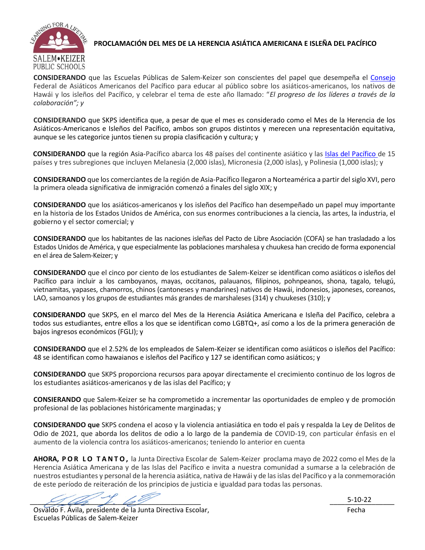

# **PROCLAMACIÓN DEL MES DE LA HERENCIA ASIÁTICA AMERICANA E ISLEÑA DEL PACÍFICO**

**CONSIDERANDO** que las Escuelas Públicas de Salem-Keizer son conscientes del papel que desempeña el [Consejo](https://fapac.org/AAPI-Resources) Federal de Asiáticos Americanos del Pacífico para educar al público sobre los asiáticos-americanos, los nativos de Hawái y los isleños del Pacífico, y celebrar el tema de este año llamado: "*El progreso de los líderes a través de la colaboración"; y* 

**CONSIDERANDO** que SKPS identifica que, a pesar de que el mes es considerado como el Mes de la Herencia de los Asiáticos-Americanos e Isleños del Pacífico, ambos son grupos distintos y merecen una representación equitativa, aunque se les categorice juntos tienen su propia clasificación y cultura; y

**CONSIDERANDO** que la región Asia-Pacífico abarca los 48 países del continente asiático y las [Islas del Pacífico](https://www.goodhousekeeping.com/life/a36433344/pacific-island-countries/) de 15 países y tres subregiones que incluyen Melanesia (2,000 islas), Micronesia (2,000 islas), y Polinesia (1,000 islas); y

**CONSIDERANDO** que los comerciantes de la región de Asia-Pacífico llegaron a Norteamérica a partir del siglo XVI, pero la primera oleada significativa de inmigración comenzó a finales del siglo XIX; y

**CONSIDERANDO** que los asiáticos-americanos y los isleños del Pacífico han desempeñado un papel muy importante en la historia de los Estados Unidos de América, con sus enormes contribuciones a la ciencia, las artes, la industria, el gobierno y el sector comercial; y

**CONSIDERANDO** que los habitantes de las naciones isleñas del Pacto de Libre Asociación (COFA) se han trasladado a los Estados Unidos de América, y que especialmente las poblaciones marshalesa y chuukesa han crecido de forma exponencial en el área de Salem-Keizer; y

**CONSIDERANDO** que el cinco por ciento de los estudiantes de Salem-Keizer se identifican como asiáticos o isleños del Pacífico para incluir a los camboyanos, mayas, occitanos, palauanos, filipinos, pohnpeanos, shona, tagalo, telugú, vietnamitas, yapases, chamorros, chinos (cantoneses y mandarines) nativos de Hawái, indonesios, japoneses, coreanos, LAO, samoanos y los grupos de estudiantes más grandes de marshaleses (314) y chuukeses (310); y

**CONSIDERANDO** que SKPS, en el marco del Mes de la Herencia Asiática Americana e Isleña del Pacífico, celebra a todos sus estudiantes, entre ellos a los que se identifican como LGBTQ+, así como a los de la primera generación de bajos ingresos económicos (FGLI); y

**CONSIDERANDO** que el 2.52% de los empleados de Salem-Keizer se identifican como asiáticos o isleños del Pacífico: 48 se identifican como hawaianos e isleños del Pacífico y 127 se identifican como asiáticos; y

**CONSIDERANDO** que SKPS proporciona recursos para apoyar directamente el crecimiento continuo de los logros de los estudiantes asiáticos-americanos y de las islas del Pacífico; y

**CONSIERANDO** que Salem-Keizer se ha comprometido a incrementar las oportunidades de empleo y de promoción profesional de las poblaciones históricamente marginadas; y

**CONSIDERANDO que** SKPS condena el acoso y la violencia antiasiática en todo el país y respalda la Ley de Delitos de Odio de 2021, que aborda los delitos de odio a lo largo de la pandemia de COVID-19, con particular énfasis en el aumento de la violencia contra los asiáticos-americanos; teniendo lo anterior en cuenta

**AHORA, P O R L O T A N T O ,** la Junta Directiva Escolar de Salem-Keizer proclama mayo de 2022 como el Mes de la Herencia Asiática Americana y de las Islas del Pacífico e invita a nuestra comunidad a sumarse a la celebración de nuestros estudiantes y personal de la herencia asiática, nativa de Hawái y de las islas del Pacífico y a la conmemoración de este período de reiteración de los principios de justicia e igualdad para todas las personas.

 $9.44 1.49$ 

Osvaldo F. Ávila, presidente de la Junta Directiva Escolar, Escuelas Públicas de Salem-Keizer

 $-$  5-10-22 Fecha